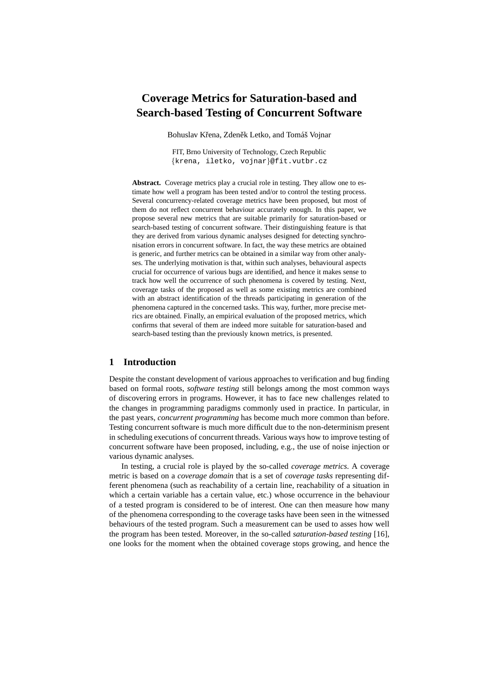# **Coverage Metrics for Saturation-based and Search-based Testing of Concurrent Software**

Bohuslav Křena, Zdeněk Letko, and Tomáš Vojnar

FIT, Brno University of Technology, Czech Republic {krena, iletko, vojnar}@fit.vutbr.cz

**Abstract.** Coverage metrics play a crucial role in testing. They allow one to estimate how well a program has been tested and/or to control the testing process. Several concurrency-related coverage metrics have been proposed, but most of them do not reflect concurrent behaviour accurately enough. In this paper, we propose several new metrics that are suitable primarily for saturation-based or search-based testing of concurrent software. Their distinguishing feature is that they are derived from various dynamic analyses designed for detecting synchronisation errors in concurrent software. In fact, the way these metrics are obtained is generic, and further metrics can be obtained in a similar way from other analyses. The underlying motivation is that, within such analyses, behavioural aspects crucial for occurrence of various bugs are identified, and hence it makes sense to track how well the occurrence of such phenomena is covered by testing. Next, coverage tasks of the proposed as well as some existing metrics are combined with an abstract identification of the threads participating in generation of the phenomena captured in the concerned tasks. This way, further, more precise metrics are obtained. Finally, an empirical evaluation of the proposed metrics, which confirms that several of them are indeed more suitable for saturation-based and search-based testing than the previously known metrics, is presented.

# **1 Introduction**

Despite the constant development of various approaches to verification and bug finding based on formal roots, *software testing* still belongs among the most common ways of discovering errors in programs. However, it has to face new challenges related to the changes in programming paradigms commonly used in practice. In particular, in the past years, *concurrent programming* has become much more common than before. Testing concurrent software is much more difficult due to the non-determinism present in scheduling executions of concurrent threads. Various ways how to improve testing of concurrent software have been proposed, including, e.g., the use of noise injection or various dynamic analyses.

In testing, a crucial role is played by the so-called *coverage metrics*. A coverage metric is based on a *coverage domain* that is a set of *coverage tasks* representing different phenomena (such as reachability of a certain line, reachability of a situation in which a certain variable has a certain value, etc.) whose occurrence in the behaviour of a tested program is considered to be of interest. One can then measure how many of the phenomena corresponding to the coverage tasks have been seen in the witnessed behaviours of the tested program. Such a measurement can be used to asses how well the program has been tested. Moreover, in the so-called *saturation-based testing* [16], one looks for the moment when the obtained coverage stops growing, and hence the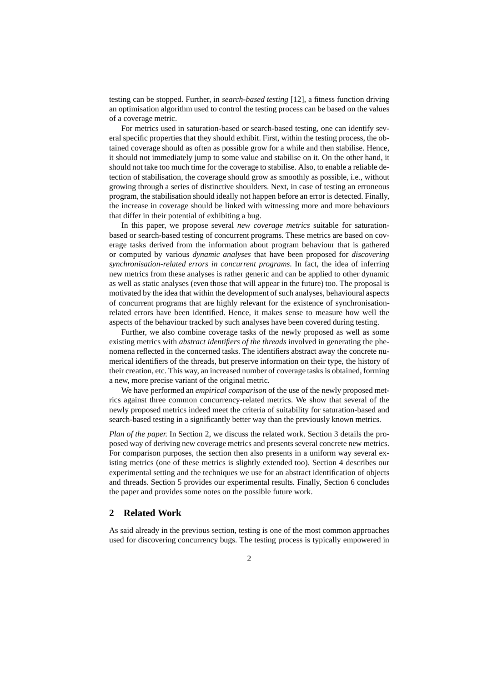testing can be stopped. Further, in *search-based testing* [12], a fitness function driving an optimisation algorithm used to control the testing process can be based on the values of a coverage metric.

For metrics used in saturation-based or search-based testing, one can identify several specific properties that they should exhibit. First, within the testing process, the obtained coverage should as often as possible grow for a while and then stabilise. Hence, it should not immediately jump to some value and stabilise on it. On the other hand, it should not take too much time for the coverage to stabilise. Also, to enable a reliable detection of stabilisation, the coverage should grow as smoothly as possible, i.e., without growing through a series of distinctive shoulders. Next, in case of testing an erroneous program, the stabilisation should ideally not happen before an error is detected. Finally, the increase in coverage should be linked with witnessing more and more behaviours that differ in their potential of exhibiting a bug.

In this paper, we propose several *new coverage metrics* suitable for saturationbased or search-based testing of concurrent programs. These metrics are based on coverage tasks derived from the information about program behaviour that is gathered or computed by various *dynamic analyses* that have been proposed for *discovering synchronisation-related errors in concurrent programs*. In fact, the idea of inferring new metrics from these analyses is rather generic and can be applied to other dynamic as well as static analyses (even those that will appear in the future) too. The proposal is motivated by the idea that within the development of such analyses, behavioural aspects of concurrent programs that are highly relevant for the existence of synchronisationrelated errors have been identified. Hence, it makes sense to measure how well the aspects of the behaviour tracked by such analyses have been covered during testing.

Further, we also combine coverage tasks of the newly proposed as well as some existing metrics with *abstract identifiers of the threads* involved in generating the phenomena reflected in the concerned tasks. The identifiers abstract away the concrete numerical identifiers of the threads, but preserve information on their type, the history of their creation, etc. This way, an increased number of coverage tasks is obtained, forming a new, more precise variant of the original metric.

We have performed an *empirical comparison* of the use of the newly proposed metrics against three common concurrency-related metrics. We show that several of the newly proposed metrics indeed meet the criteria of suitability for saturation-based and search-based testing in a significantly better way than the previously known metrics.

*Plan of the paper.* In Section 2, we discuss the related work. Section 3 details the proposed way of deriving new coverage metrics and presents several concrete new metrics. For comparison purposes, the section then also presents in a uniform way several existing metrics (one of these metrics is slightly extended too). Section 4 describes our experimental setting and the techniques we use for an abstract identification of objects and threads. Section 5 provides our experimental results. Finally, Section 6 concludes the paper and provides some notes on the possible future work.

## **2 Related Work**

As said already in the previous section, testing is one of the most common approaches used for discovering concurrency bugs. The testing process is typically empowered in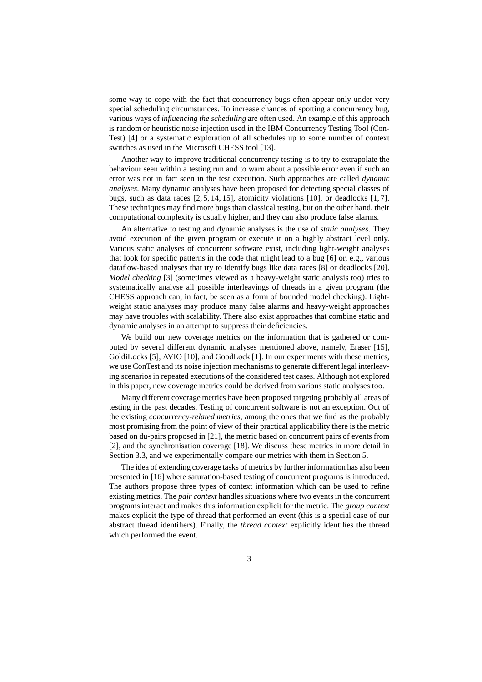some way to cope with the fact that concurrency bugs often appear only under very special scheduling circumstances. To increase chances of spotting a concurrency bug, various ways of *influencing the scheduling* are often used. An example of this approach is random or heuristic noise injection used in the IBM Concurrency Testing Tool (Con-Test) [4] or a systematic exploration of all schedules up to some number of context switches as used in the Microsoft CHESS tool [13].

Another way to improve traditional concurrency testing is to try to extrapolate the behaviour seen within a testing run and to warn about a possible error even if such an error was not in fact seen in the test execution. Such approaches are called *dynamic analyses*. Many dynamic analyses have been proposed for detecting special classes of bugs, such as data races  $[2, 5, 14, 15]$ , atomicity violations  $[10]$ , or deadlocks  $[1, 7]$ . These techniques may find more bugs than classical testing, but on the other hand, their computational complexity is usually higher, and they can also produce false alarms.

An alternative to testing and dynamic analyses is the use of *static analyses*. They avoid execution of the given program or execute it on a highly abstract level only. Various static analyses of concurrent software exist, including light-weight analyses that look for specific patterns in the code that might lead to a bug [6] or, e.g., various dataflow-based analyses that try to identify bugs like data races [8] or deadlocks [20]. *Model checking* [3] (sometimes viewed as a heavy-weight static analysis too) tries to systematically analyse all possible interleavings of threads in a given program (the CHESS approach can, in fact, be seen as a form of bounded model checking). Lightweight static analyses may produce many false alarms and heavy-weight approaches may have troubles with scalability. There also exist approaches that combine static and dynamic analyses in an attempt to suppress their deficiencies.

We build our new coverage metrics on the information that is gathered or computed by several different dynamic analyses mentioned above, namely, Eraser [15], GoldiLocks [5], AVIO [10], and GoodLock [1]. In our experiments with these metrics, we use ConTest and its noise injection mechanisms to generate different legal interleaving scenarios in repeated executions of the considered test cases. Although not explored in this paper, new coverage metrics could be derived from various static analyses too.

Many different coverage metrics have been proposed targeting probably all areas of testing in the past decades. Testing of concurrent software is not an exception. Out of the existing *concurrency-related metrics*, among the ones that we find as the probably most promising from the point of view of their practical applicability there is the metric based on du-pairs proposed in [21], the metric based on concurrent pairs of events from [2], and the synchronisation coverage [18]. We discuss these metrics in more detail in Section 3.3, and we experimentally compare our metrics with them in Section 5.

The idea of extending coverage tasks of metrics by further information has also been presented in [16] where saturation-based testing of concurrent programs is introduced. The authors propose three types of context information which can be used to refine existing metrics. The *pair context* handles situations where two events in the concurrent programs interact and makes this information explicit for the metric. The *group context* makes explicit the type of thread that performed an event (this is a special case of our abstract thread identifiers). Finally, the *thread context* explicitly identifies the thread which performed the event.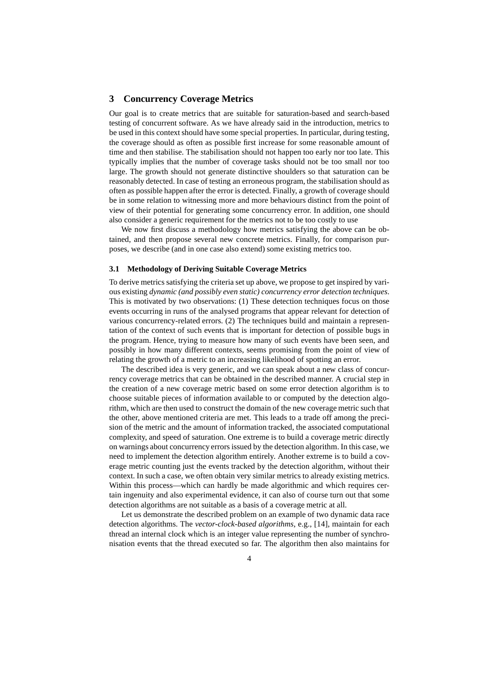# **3 Concurrency Coverage Metrics**

Our goal is to create metrics that are suitable for saturation-based and search-based testing of concurrent software. As we have already said in the introduction, metrics to be used in this context should have some special properties. In particular, during testing, the coverage should as often as possible first increase for some reasonable amount of time and then stabilise. The stabilisation should not happen too early nor too late. This typically implies that the number of coverage tasks should not be too small nor too large. The growth should not generate distinctive shoulders so that saturation can be reasonably detected. In case of testing an erroneous program, the stabilisation should as often as possible happen after the error is detected. Finally, a growth of coverage should be in some relation to witnessing more and more behaviours distinct from the point of view of their potential for generating some concurrency error. In addition, one should also consider a generic requirement for the metrics not to be too costly to use

We now first discuss a methodology how metrics satisfying the above can be obtained, and then propose several new concrete metrics. Finally, for comparison purposes, we describe (and in one case also extend) some existing metrics too.

#### **3.1 Methodology of Deriving Suitable Coverage Metrics**

To derive metrics satisfying the criteria set up above, we propose to get inspired by various existing *dynamic (and possibly even static) concurrency error detection techniques*. This is motivated by two observations: (1) These detection techniques focus on those events occurring in runs of the analysed programs that appear relevant for detection of various concurrency-related errors. (2) The techniques build and maintain a representation of the context of such events that is important for detection of possible bugs in the program. Hence, trying to measure how many of such events have been seen, and possibly in how many different contexts, seems promising from the point of view of relating the growth of a metric to an increasing likelihood of spotting an error.

The described idea is very generic, and we can speak about a new class of concurrency coverage metrics that can be obtained in the described manner. A crucial step in the creation of a new coverage metric based on some error detection algorithm is to choose suitable pieces of information available to or computed by the detection algorithm, which are then used to construct the domain of the new coverage metric such that the other, above mentioned criteria are met. This leads to a trade off among the precision of the metric and the amount of information tracked, the associated computational complexity, and speed of saturation. One extreme is to build a coverage metric directly on warnings about concurrency errors issued by the detection algorithm. In this case, we need to implement the detection algorithm entirely. Another extreme is to build a coverage metric counting just the events tracked by the detection algorithm, without their context. In such a case, we often obtain very similar metrics to already existing metrics. Within this process—which can hardly be made algorithmic and which requires certain ingenuity and also experimental evidence, it can also of course turn out that some detection algorithms are not suitable as a basis of a coverage metric at all.

Let us demonstrate the described problem on an example of two dynamic data race detection algorithms. The *vector-clock-based algorithms*, e.g., [14], maintain for each thread an internal clock which is an integer value representing the number of synchronisation events that the thread executed so far. The algorithm then also maintains for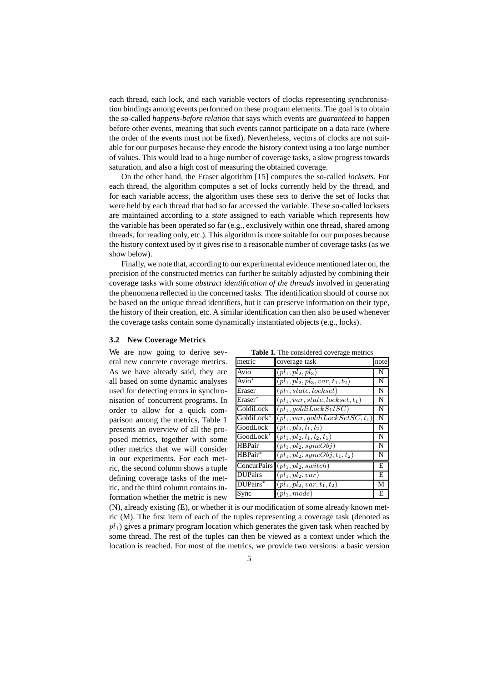each thread, each lock, and each variable vectors of clocks representing synchronisation bindings among events performed on these program elements. The goal is to obtain the so-called *happens-before relation* that says which events are *guaranteed* to happen before other events, meaning that such events cannot participate on a data race (where the order of the events must not be fixed). Nevertheless, vectors of clocks are not suitable for our purposes because they encode the history context using a too large number of values. This would lead to a huge number of coverage tasks, a slow progress towards saturation, and also a high cost of measuring the obtained coverage.

On the other hand, the Eraser algorithm [15] computes the so-called *locksets*. For each thread, the algorithm computes a set of locks currently held by the thread, and for each variable access, the algorithm uses these sets to derive the set of locks that were held by each thread that had so far accessed the variable. These so-called locksets are maintained according to a *state* assigned to each variable which represents how the variable has been operated so far (e.g., exclusively within one thread, shared among threads, for reading only, etc.). This algorithm is more suitable for our purposes because the history context used by it gives rise to a reasonable number of coverage tasks (as we show below).

Finally, we note that, according to our experimental evidence mentioned later on, the precision of the constructed metrics can further be suitably adjusted by combining their coverage tasks with some *abstract identification of the threads* involved in generating the phenomena reflected in the concerned tasks. The identification should of course not be based on the unique thread identifiers, but it can preserve information on their type, the history of their creation, etc. A similar identification can then also be used whenever the coverage tasks contain some dynamically instantiated objects (e.g., locks).

### **3.2 New Coverage Metrics**

We are now going to derive several new concrete coverage metrics. As we have already said, they are all based on some dynamic analyses used for detecting errors in synchronisation of concurrent programs. In order to allow for a quick comparison among the metrics, Table 1 presents an overview of all the proposed metrics, together with some other metrics that we will consider in our experiments. For each metric, the second column shows a tuple defining coverage tasks of the metric, and the third column contains information whether the metric is new

| Table 1. The considered coverage metrics |  |
|------------------------------------------|--|
|------------------------------------------|--|

| coverage task                        | note |
|--------------------------------------|------|
| $(pl_1, pl_2, pl_3)$                 | N    |
| $(pl_1, pl_2, pl_3, var, t_1, t_2)$  | N    |
| $(pl_1, state, lockset)$             | N    |
| $(pl_1, var, state, lockset, t_1)$   | N    |
| $(pl_1, goldilLockSetSC)$            | N    |
| $(pl_1, var, goldiLockSetSC, t_1)$   | N    |
| $(pl_1, pl_2, l_1, l_2)$             | N    |
| $(pl_1, pl_2, l_1, l_2, t_1)$        | N    |
| $(pl_1, pl_2, syncObj)$              | N    |
| $(pl_1, pl_2, syncObj, t_1, t_2)$    | N    |
| ConcurPairs $  (pl_1, pl_2, switch)$ | E    |
| $(pl_1, pl_2, var)$                  | E    |
| $(pl_1, pl_2, var, t_1, t_2)$        | M    |
| $(pl_1, mode)$                       | Е    |
|                                      |      |

(N), already existing (E), or whether it is our modification of some already known metric (M). The first item of each of the tuples representing a coverage task (denoted as  $pl_1$ ) gives a primary program location which generates the given task when reached by some thread. The rest of the tuples can then be viewed as a context under which the location is reached. For most of the metrics, we provide two versions: a basic version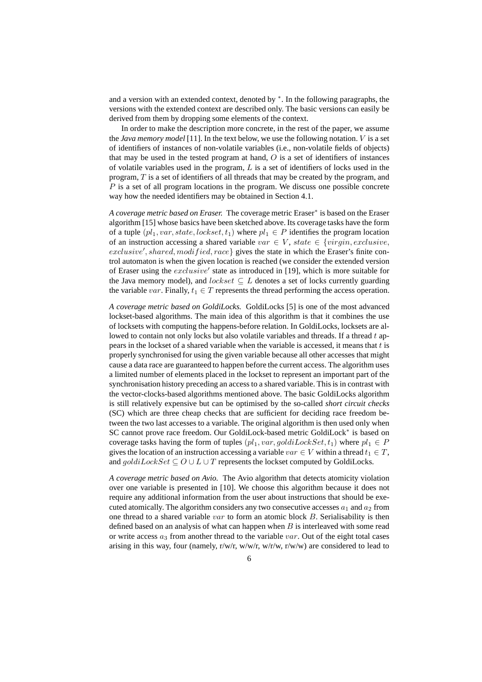and a version with an extended context, denoted by  $*$ . In the following paragraphs, the versions with the extended context are described only. The basic versions can easily be derived from them by dropping some elements of the context.

In order to make the description more concrete, in the rest of the paper, we assume the *Java memory model* [11]. In the text below, we use the following notation. V is a set of identifiers of instances of non-volatile variables (i.e., non-volatile fields of objects) that may be used in the tested program at hand,  $O$  is a set of identifiers of instances of volatile variables used in the program,  $L$  is a set of identifiers of locks used in the program, T is a set of identifiers of all threads that may be created by the program, and  $P$  is a set of all program locations in the program. We discuss one possible concrete way how the needed identifiers may be obtained in Section 4.1.

*A coverage metric based on Eraser.* The coverage metric Eraser<sup>∗</sup> is based on the Eraser algorithm [15] whose basics have been sketched above. Its coverage tasks have the form of a tuple  $(pl_1, var, state, lockset, t_1)$  where  $pl_1 \in P$  identifies the program location of an instruction accessing a shared variable var  $\in V$ , state  $\in \{virgin, exclusive,$  $exclusive', shared, modified, race\}$  gives the state in which the Eraser's finite control automaton is when the given location is reached (we consider the extended version of Eraser using the  $exclusive'$  state as introduced in [19], which is more suitable for the Java memory model), and lockset  $\subseteq L$  denotes a set of locks currently guarding the variable var. Finally,  $t_1 \in T$  represents the thread performing the access operation.

*A coverage metric based on GoldiLocks.* GoldiLocks [5] is one of the most advanced lockset-based algorithms. The main idea of this algorithm is that it combines the use of locksets with computing the happens-before relation. In GoldiLocks, locksets are allowed to contain not only locks but also volatile variables and threads. If a thread t appears in the lockset of a shared variable when the variable is accessed, it means that  $t$  is properly synchronised for using the given variable because all other accesses that might cause a data race are guaranteed to happen before the current access. The algorithm uses a limited number of elements placed in the lockset to represent an important part of the synchronisation history preceding an access to a shared variable. This is in contrast with the vector-clocks-based algorithms mentioned above. The basic GoldiLocks algorithm is still relatively expensive but can be optimised by the so-called *short circuit checks* (SC) which are three cheap checks that are sufficient for deciding race freedom between the two last accesses to a variable. The original algorithm is then used only when SC cannot prove race freedom. Our GoldiLock-based metric GoldiLock<sup>∗</sup> is based on coverage tasks having the form of tuples  $(pl_1, var, golddiLockSet, t_1)$  where  $pl_1 \in P$ gives the location of an instruction accessing a variable  $var \in V$  within a thread  $t_1 \in T$ , and  $goldiLockSet \subseteq O \cup L \cup T$  represents the lockset computed by GoldiLocks.

*A coverage metric based on Avio.* The Avio algorithm that detects atomicity violation over one variable is presented in [10]. We choose this algorithm because it does not require any additional information from the user about instructions that should be executed atomically. The algorithm considers any two consecutive accesses  $a_1$  and  $a_2$  from one thread to a shared variable  $var$  to form an atomic block  $B$ . Serialisability is then defined based on an analysis of what can happen when  $B$  is interleaved with some read or write access  $a_3$  from another thread to the variable var. Out of the eight total cases arising in this way, four (namely,  $r/w/r$ ,  $w/w/r$ ,  $w/r/w$ ,  $r/w/w$ ) are considered to lead to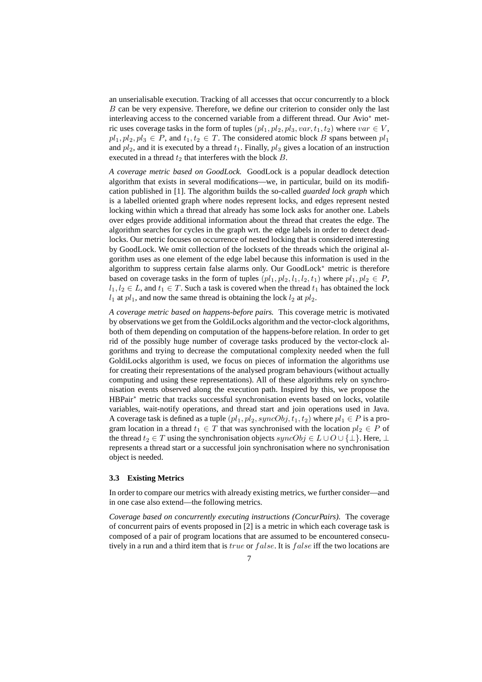an unserialisable execution. Tracking of all accesses that occur concurrently to a block B can be very expensive. Therefore, we define our criterion to consider only the last interleaving access to the concerned variable from a different thread. Our Avio<sup>∗</sup> metric uses coverage tasks in the form of tuples  $(pl_1, pl_2, pl_3, var, t_1, t_2)$  where  $var \in V$ ,  $pl_1, pl_2, pl_3 \in P$ , and  $t_1, t_2 \in T$ . The considered atomic block B spans between  $pl_1$ and  $pl_2$ , and it is executed by a thread  $t_1$ . Finally,  $pl_3$  gives a location of an instruction executed in a thread  $t_2$  that interferes with the block  $B$ .

*A coverage metric based on GoodLock.* GoodLock is a popular deadlock detection algorithm that exists in several modifications—we, in particular, build on its modification published in [1]. The algorithm builds the so-called *guarded lock graph* which is a labelled oriented graph where nodes represent locks, and edges represent nested locking within which a thread that already has some lock asks for another one. Labels over edges provide additional information about the thread that creates the edge. The algorithm searches for cycles in the graph wrt. the edge labels in order to detect deadlocks. Our metric focuses on occurrence of nested locking that is considered interesting by GoodLock. We omit collection of the locksets of the threads which the original algorithm uses as one element of the edge label because this information is used in the algorithm to suppress certain false alarms only. Our GoodLock<sup>∗</sup> metric is therefore based on coverage tasks in the form of tuples  $(pl_1, pl_2, l_1, l_2, t_1)$  where  $pl_1, pl_2 \in P$ ,  $l_1, l_2 \in L$ , and  $t_1 \in T$ . Such a task is covered when the thread  $t_1$  has obtained the lock  $l_1$  at  $pl_1$ , and now the same thread is obtaining the lock  $l_2$  at  $pl_2$ .

*A coverage metric based on happens-before pairs.* This coverage metric is motivated by observations we get from the GoldiLocks algorithm and the vector-clock algorithms, both of them depending on computation of the happens-before relation. In order to get rid of the possibly huge number of coverage tasks produced by the vector-clock algorithms and trying to decrease the computational complexity needed when the full GoldiLocks algorithm is used, we focus on pieces of information the algorithms use for creating their representations of the analysed program behaviours (without actually computing and using these representations). All of these algorithms rely on synchronisation events observed along the execution path. Inspired by this, we propose the HBPair<sup>∗</sup> metric that tracks successful synchronisation events based on locks, volatile variables, wait-notify operations, and thread start and join operations used in Java. A coverage task is defined as a tuple  $(pl_1, pl_2, syncObj, t_1, t_2)$  where  $pl_1 \in P$  is a program location in a thread  $t_1 \in T$  that was synchronised with the location  $pl_2 \in P$  of the thread  $t_2 \in T$  using the synchronisation objects  $syncObj \in L \cup O \cup \{\perp\}$ . Here,  $\perp$ represents a thread start or a successful join synchronisation where no synchronisation object is needed.

#### **3.3 Existing Metrics**

In order to compare our metrics with already existing metrics, we further consider—and in one case also extend—the following metrics.

*Coverage based on concurrently executing instructions (ConcurPairs).* The coverage of concurrent pairs of events proposed in [2] is a metric in which each coverage task is composed of a pair of program locations that are assumed to be encountered consecutively in a run and a third item that is  $true$  or  $false$ . It is  $false$  iff the two locations are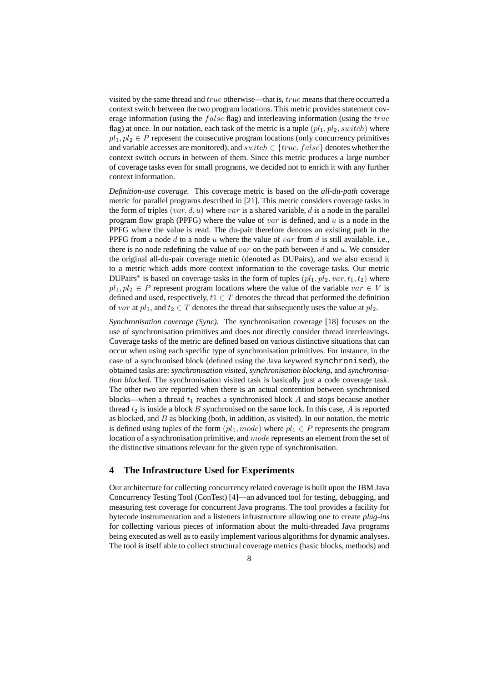visited by the same thread and true otherwise—that is, true means that there occurred a context switch between the two program locations. This metric provides statement coverage information (using the  $false$  flag) and interleaving information (using the  $true$ flag) at once. In our notation, each task of the metric is a tuple  $(pl_1, pl_2, switch)$  where  $pl_1, pl_2 \in P$  represent the consecutive program locations (only concurrency primitives and variable accesses are monitored), and switch  $\in \{true, false\}$  denotes whether the context switch occurs in between of them. Since this metric produces a large number of coverage tasks even for small programs, we decided not to enrich it with any further context information.

*Definition-use coverage.* This coverage metric is based on the *all-du-path* coverage metric for parallel programs described in [21]. This metric considers coverage tasks in the form of triples  $(var, d, u)$  where var is a shared variable, d is a node in the parallel program flow graph (PPFG) where the value of var is defined, and  $u$  is a node in the PPFG where the value is read. The du-pair therefore denotes an existing path in the PPFG from a node d to a node u where the value of var from d is still available, i.e., there is no node redefining the value of var on the path between d and  $u$ . We consider the original all-du-pair coverage metric (denoted as DUPairs), and we also extend it to a metric which adds more context information to the coverage tasks. Our metric DUPairs<sup>\*</sup> is based on coverage tasks in the form of tuples  $(pl_1, pl_2, var, t_1, t_2)$  where  $pl_1, pl_2 \in P$  represent program locations where the value of the variable  $var \in V$  is defined and used, respectively,  $t1 \in T$  denotes the thread that performed the definition of var at  $pl_1$ , and  $t_2 \in T$  denotes the thread that subsequently uses the value at  $pl_2$ .

*Synchronisation coverage (Sync).* The synchronisation coverage [18] focuses on the use of synchronisation primitives and does not directly consider thread interleavings. Coverage tasks of the metric are defined based on various distinctive situations that can occur when using each specific type of synchronisation primitives. For instance, in the case of a synchronised block (defined using the Java keyword synchronised), the obtained tasks are: *synchronisation visited*, *synchronisation blocking*, and *synchronisation blocked*. The synchronisation visited task is basically just a code coverage task. The other two are reported when there is an actual contention between synchronised blocks—when a thread  $t_1$  reaches a synchronised block A and stops because another thread  $t_2$  is inside a block B synchronised on the same lock. In this case, A is reported as blocked, and  $B$  as blocking (both, in addition, as visited). In our notation, the metric is defined using tuples of the form  $(pl_1, mode)$  where  $pl_1 \in P$  represents the program location of a synchronisation primitive, and mode represents an element from the set of the distinctive situations relevant for the given type of synchronisation.

# **4 The Infrastructure Used for Experiments**

Our architecture for collecting concurrency related coverage is built upon the IBM Java Concurrency Testing Tool (ConTest) [4]—an advanced tool for testing, debugging, and measuring test coverage for concurrent Java programs. The tool provides a facility for bytecode instrumentation and a listeners infrastructure allowing one to create *plug-ins* for collecting various pieces of information about the multi-threaded Java programs being executed as well as to easily implement various algorithms for dynamic analyses. The tool is itself able to collect structural coverage metrics (basic blocks, methods) and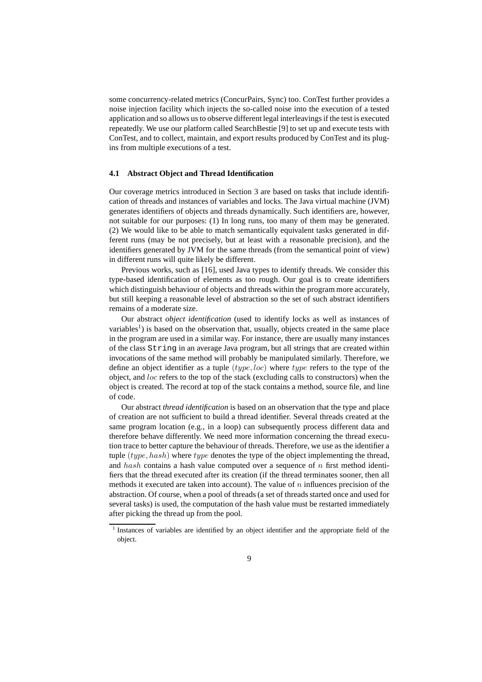some concurrency-related metrics (ConcurPairs, Sync) too. ConTest further provides a noise injection facility which injects the so-called noise into the execution of a tested application and so allows us to observe different legal interleavings if the test is executed repeatedly. We use our platform called SearchBestie [9] to set up and execute tests with ConTest, and to collect, maintain, and export results produced by ConTest and its plugins from multiple executions of a test.

### **4.1 Abstract Object and Thread Identification**

Our coverage metrics introduced in Section 3 are based on tasks that include identification of threads and instances of variables and locks. The Java virtual machine (JVM) generates identifiers of objects and threads dynamically. Such identifiers are, however, not suitable for our purposes: (1) In long runs, too many of them may be generated. (2) We would like to be able to match semantically equivalent tasks generated in different runs (may be not precisely, but at least with a reasonable precision), and the identifiers generated by JVM for the same threads (from the semantical point of view) in different runs will quite likely be different.

Previous works, such as [16], used Java types to identify threads. We consider this type-based identification of elements as too rough. Our goal is to create identifiers which distinguish behaviour of objects and threads within the program more accurately, but still keeping a reasonable level of abstraction so the set of such abstract identifiers remains of a moderate size.

Our abstract *object identification* (used to identify locks as well as instances of variables<sup>1</sup>) is based on the observation that, usually, objects created in the same place in the program are used in a similar way. For instance, there are usually many instances of the class String in an average Java program, but all strings that are created within invocations of the same method will probably be manipulated similarly. Therefore, we define an object identifier as a tuple  $(type, loc)$  where type refers to the type of the object, and  $loc$  refers to the top of the stack (excluding calls to constructors) when the object is created. The record at top of the stack contains a method, source file, and line of code.

Our abstract *thread identification* is based on an observation that the type and place of creation are not sufficient to build a thread identifier. Several threads created at the same program location (e.g., in a loop) can subsequently process different data and therefore behave differently. We need more information concerning the thread execution trace to better capture the behaviour of threads. Therefore, we use as the identifier a tuple  $(type, hash)$  where  $type$  denotes the type of the object implementing the thread, and hash contains a hash value computed over a sequence of  $n$  first method identifiers that the thread executed after its creation (if the thread terminates sooner, then all methods it executed are taken into account). The value of  $n$  influences precision of the abstraction. Of course, when a pool of threads (a set of threads started once and used for several tasks) is used, the computation of the hash value must be restarted immediately after picking the thread up from the pool.

<sup>&</sup>lt;sup>1</sup> Instances of variables are identified by an object identifier and the appropriate field of the object.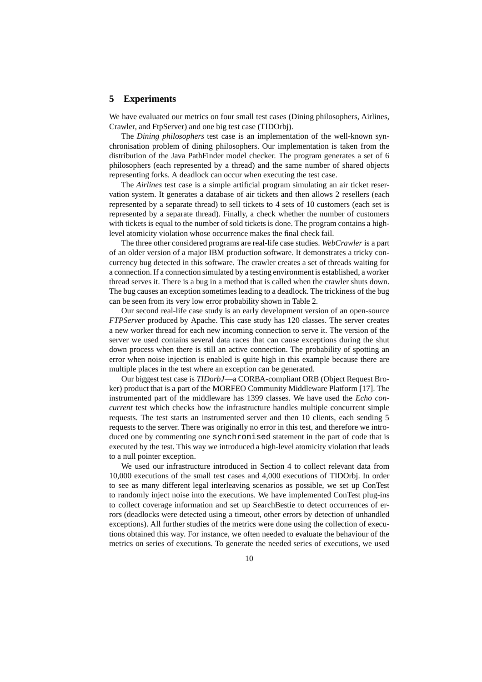## **5 Experiments**

We have evaluated our metrics on four small test cases (Dining philosophers, Airlines, Crawler, and FtpServer) and one big test case (TIDOrbj).

The *Dining philosophers* test case is an implementation of the well-known synchronisation problem of dining philosophers. Our implementation is taken from the distribution of the Java PathFinder model checker. The program generates a set of 6 philosophers (each represented by a thread) and the same number of shared objects representing forks. A deadlock can occur when executing the test case.

The *Airlines* test case is a simple artificial program simulating an air ticket reservation system. It generates a database of air tickets and then allows 2 resellers (each represented by a separate thread) to sell tickets to 4 sets of 10 customers (each set is represented by a separate thread). Finally, a check whether the number of customers with tickets is equal to the number of sold tickets is done. The program contains a highlevel atomicity violation whose occurrence makes the final check fail.

The three other considered programs are real-life case studies. *WebCrawler* is a part of an older version of a major IBM production software. It demonstrates a tricky concurrency bug detected in this software. The crawler creates a set of threads waiting for a connection. If a connection simulated by a testing environment is established, a worker thread serves it. There is a bug in a method that is called when the crawler shuts down. The bug causes an exception sometimes leading to a deadlock. The trickiness of the bug can be seen from its very low error probability shown in Table 2.

Our second real-life case study is an early development version of an open-source *FTPServer* produced by Apache. This case study has 120 classes. The server creates a new worker thread for each new incoming connection to serve it. The version of the server we used contains several data races that can cause exceptions during the shut down process when there is still an active connection. The probability of spotting an error when noise injection is enabled is quite high in this example because there are multiple places in the test where an exception can be generated.

Our biggest test case is *TIDorbJ*—a CORBA-compliant ORB (Object Request Broker) product that is a part of the MORFEO Community Middleware Platform [17]. The instrumented part of the middleware has 1399 classes. We have used the *Echo concurrent* test which checks how the infrastructure handles multiple concurrent simple requests. The test starts an instrumented server and then 10 clients, each sending 5 requests to the server. There was originally no error in this test, and therefore we introduced one by commenting one synchronised statement in the part of code that is executed by the test. This way we introduced a high-level atomicity violation that leads to a null pointer exception.

We used our infrastructure introduced in Section 4 to collect relevant data from 10,000 executions of the small test cases and 4,000 executions of TIDOrbj. In order to see as many different legal interleaving scenarios as possible, we set up ConTest to randomly inject noise into the executions. We have implemented ConTest plug-ins to collect coverage information and set up SearchBestie to detect occurrences of errors (deadlocks were detected using a timeout, other errors by detection of unhandled exceptions). All further studies of the metrics were done using the collection of executions obtained this way. For instance, we often needed to evaluate the behaviour of the metrics on series of executions. To generate the needed series of executions, we used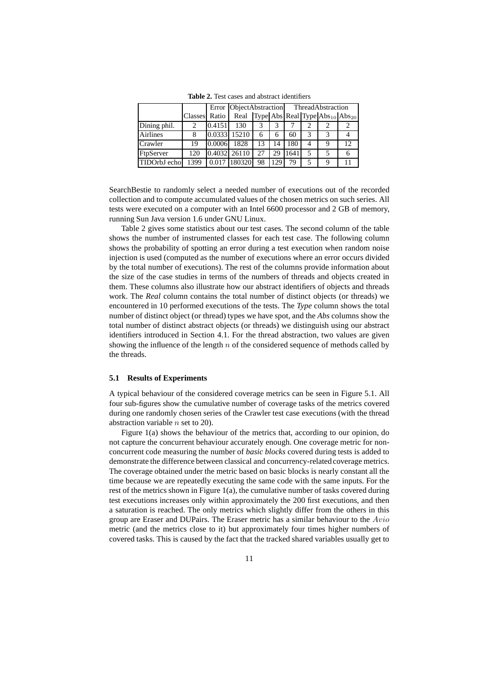|                 |               |        | Error   Object Abstraction |    |     | ThreadAbstraction |                             |   |                                                       |  |
|-----------------|---------------|--------|----------------------------|----|-----|-------------------|-----------------------------|---|-------------------------------------------------------|--|
|                 | Classes Ratio |        |                            |    |     |                   |                             |   | Real Type Abs Real Type $Also_{10}$ Abs <sub>20</sub> |  |
| Dining phil.    | 2             | 0.4151 | 130                        | 3  |     |                   | $\mathcal{D}_{\mathcal{A}}$ |   |                                                       |  |
| <b>Airlines</b> |               |        | 0.0333 15210               | 6  | 6   | 60                | 3                           | 3 |                                                       |  |
| Crawler         | 19            | 0.0006 | 1828                       | 13 | 14  | 180               | 4                           | 9 |                                                       |  |
| FtpServer       | 120           |        | 0.4032 26110               | 27 | 29  | 1641              | 5                           | 5 |                                                       |  |
| TIDOrbJ echo    | 1399          | 0.017  | 180320                     | 98 | 129 | 79                | 5                           | 9 | 11                                                    |  |

**Table 2.** Test cases and abstract identifiers

SearchBestie to randomly select a needed number of executions out of the recorded collection and to compute accumulated values of the chosen metrics on such series. All tests were executed on a computer with an Intel 6600 processor and 2 GB of memory, running Sun Java version 1.6 under GNU Linux.

Table 2 gives some statistics about our test cases. The second column of the table shows the number of instrumented classes for each test case. The following column shows the probability of spotting an error during a test execution when random noise injection is used (computed as the number of executions where an error occurs divided by the total number of executions). The rest of the columns provide information about the size of the case studies in terms of the numbers of threads and objects created in them. These columns also illustrate how our abstract identifiers of objects and threads work. The *Real* column contains the total number of distinct objects (or threads) we encountered in 10 performed executions of the tests. The *Type* column shows the total number of distinct object (or thread) types we have spot, and the *Abs* columns show the total number of distinct abstract objects (or threads) we distinguish using our abstract identifiers introduced in Section 4.1. For the thread abstraction, two values are given showing the influence of the length  $n$  of the considered sequence of methods called by the threads.

#### **5.1 Results of Experiments**

A typical behaviour of the considered coverage metrics can be seen in Figure 5.1. All four sub-figures show the cumulative number of coverage tasks of the metrics covered during one randomly chosen series of the Crawler test case executions (with the thread abstraction variable  $n$  set to 20).

Figure 1(a) shows the behaviour of the metrics that, according to our opinion, do not capture the concurrent behaviour accurately enough. One coverage metric for nonconcurrent code measuring the number of *basic blocks* covered during tests is added to demonstrate the difference between classical and concurrency-related coverage metrics. The coverage obtained under the metric based on basic blocks is nearly constant all the time because we are repeatedly executing the same code with the same inputs. For the rest of the metrics shown in Figure  $1(a)$ , the cumulative number of tasks covered during test executions increases only within approximately the 200 first executions, and then a saturation is reached. The only metrics which slightly differ from the others in this group are Eraser and DUPairs. The Eraser metric has a similar behaviour to the  $Avio$ metric (and the metrics close to it) but approximately four times higher numbers of covered tasks. This is caused by the fact that the tracked shared variables usually get to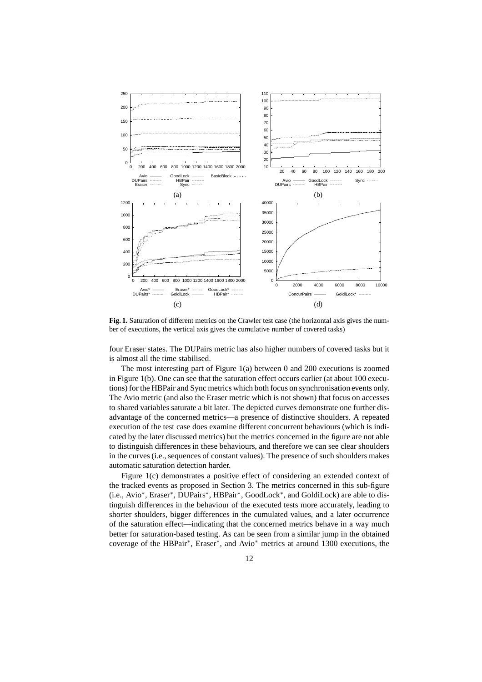

**Fig. 1.** Saturation of different metrics on the Crawler test case (the horizontal axis gives the number of executions, the vertical axis gives the cumulative number of covered tasks)

four Eraser states. The DUPairs metric has also higher numbers of covered tasks but it is almost all the time stabilised.

The most interesting part of Figure 1(a) between 0 and 200 executions is zoomed in Figure 1(b). One can see that the saturation effect occurs earlier (at about 100 executions) for the HBPair and Sync metrics which both focus on synchronisation events only. The Avio metric (and also the Eraser metric which is not shown) that focus on accesses to shared variables saturate a bit later. The depicted curves demonstrate one further disadvantage of the concerned metrics—a presence of distinctive shoulders. A repeated execution of the test case does examine different concurrent behaviours (which is indicated by the later discussed metrics) but the metrics concerned in the figure are not able to distinguish differences in these behaviours, and therefore we can see clear shoulders in the curves (i.e., sequences of constant values). The presence of such shoulders makes automatic saturation detection harder.

Figure 1(c) demonstrates a positive effect of considering an extended context of the tracked events as proposed in Section 3. The metrics concerned in this sub-figure (i.e., Avio<sup>∗</sup> , Eraser<sup>∗</sup> , DUPairs<sup>∗</sup> , HBPair<sup>∗</sup> , GoodLock<sup>∗</sup> , and GoldiLock) are able to distinguish differences in the behaviour of the executed tests more accurately, leading to shorter shoulders, bigger differences in the cumulated values, and a later occurrence of the saturation effect—indicating that the concerned metrics behave in a way much better for saturation-based testing. As can be seen from a similar jump in the obtained coverage of the HBPair<sup>∗</sup> , Eraser<sup>∗</sup> , and Avio<sup>∗</sup> metrics at around 1300 executions, the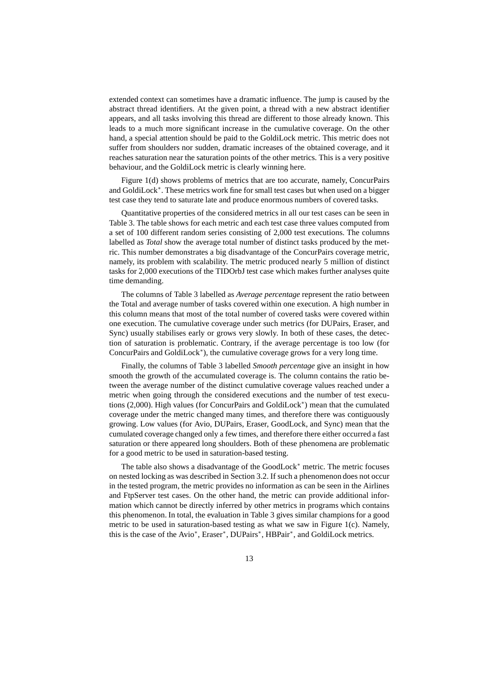extended context can sometimes have a dramatic influence. The jump is caused by the abstract thread identifiers. At the given point, a thread with a new abstract identifier appears, and all tasks involving this thread are different to those already known. This leads to a much more significant increase in the cumulative coverage. On the other hand, a special attention should be paid to the GoldiLock metric. This metric does not suffer from shoulders nor sudden, dramatic increases of the obtained coverage, and it reaches saturation near the saturation points of the other metrics. This is a very positive behaviour, and the GoldiLock metric is clearly winning here.

Figure 1(d) shows problems of metrics that are too accurate, namely, ConcurPairs and GoldiLock<sup>∗</sup> . These metrics work fine for small test cases but when used on a bigger test case they tend to saturate late and produce enormous numbers of covered tasks.

Quantitative properties of the considered metrics in all our test cases can be seen in Table 3. The table shows for each metric and each test case three values computed from a set of 100 different random series consisting of 2,000 test executions. The columns labelled as *Total* show the average total number of distinct tasks produced by the metric. This number demonstrates a big disadvantage of the ConcurPairs coverage metric, namely, its problem with scalability. The metric produced nearly 5 million of distinct tasks for 2,000 executions of the TIDOrbJ test case which makes further analyses quite time demanding.

The columns of Table 3 labelled as *Average percentage* represent the ratio between the Total and average number of tasks covered within one execution. A high number in this column means that most of the total number of covered tasks were covered within one execution. The cumulative coverage under such metrics (for DUPairs, Eraser, and Sync) usually stabilises early or grows very slowly. In both of these cases, the detection of saturation is problematic. Contrary, if the average percentage is too low (for ConcurPairs and GoldiLock<sup>∗</sup> ), the cumulative coverage grows for a very long time.

Finally, the columns of Table 3 labelled *Smooth percentage* give an insight in how smooth the growth of the accumulated coverage is. The column contains the ratio between the average number of the distinct cumulative coverage values reached under a metric when going through the considered executions and the number of test executions (2,000). High values (for ConcurPairs and GoldiLock<sup>∗</sup> ) mean that the cumulated coverage under the metric changed many times, and therefore there was contiguously growing. Low values (for Avio, DUPairs, Eraser, GoodLock, and Sync) mean that the cumulated coverage changed only a few times, and therefore there either occurred a fast saturation or there appeared long shoulders. Both of these phenomena are problematic for a good metric to be used in saturation-based testing.

The table also shows a disadvantage of the GoodLock<sup>∗</sup> metric. The metric focuses on nested locking as was described in Section 3.2. If such a phenomenon does not occur in the tested program, the metric provides no information as can be seen in the Airlines and FtpServer test cases. On the other hand, the metric can provide additional information which cannot be directly inferred by other metrics in programs which contains this phenomenon. In total, the evaluation in Table 3 gives similar champions for a good metric to be used in saturation-based testing as what we saw in Figure  $1(c)$ . Namely, this is the case of the Avio<sup>∗</sup> , Eraser<sup>∗</sup> , DUPairs<sup>∗</sup> , HBPair<sup>∗</sup> , and GoldiLock metrics.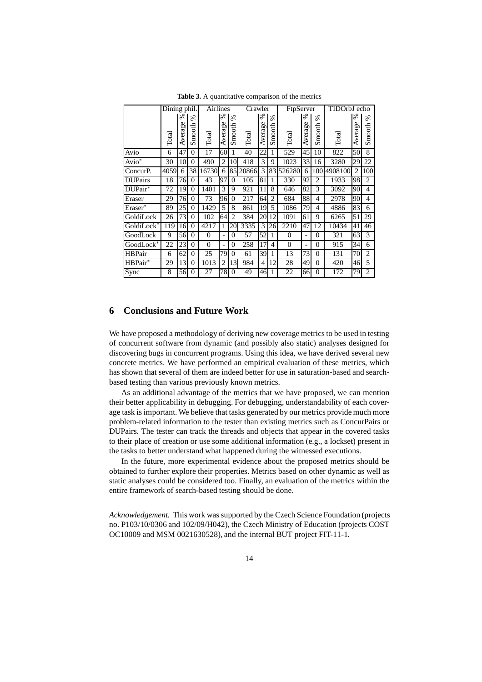|                | $\overline{\text{Dining}}$ phil. |              |             | Airlines |                   |              | Crawler |                           |                | FtpServer |                          |                | TIDOrbJ echo |                   |                |
|----------------|----------------------------------|--------------|-------------|----------|-------------------|--------------|---------|---------------------------|----------------|-----------|--------------------------|----------------|--------------|-------------------|----------------|
|                | Total                            | ೫<br>Average | ℅<br>Smooth | Total    | ℅<br>Average      | S,<br>Smooth | Total   | వ్<br>$\omega$<br>Average | ℅<br>Smooth    | Total     | S,<br>Average            | ℅<br>Smooth    | Total        | ℅<br>Φ<br>Average | ℅<br>Smooth    |
| Avio           | 6                                | 47           | $\Omega$    | 17       | 60                |              | 40      | 22                        | 1              | 529       | 45                       | 10             | 822          | 50                | 8              |
| $Avio^*$       | 30                               | 10           | 0           | 490      | $\overline{c}$    | 10           | 418     | 3                         | 9              | 1023      | 33                       | 16             | 3280         | 29                | 22             |
| ConcurP.       | 4059                             | 6            | 38          | 16730    | 6                 | 85           | 20866   | 3                         | 83             | 526280    | 6                        | 100            | 4908100      | 2                 | 100            |
| <b>DUPairs</b> | 18                               | 76           | $\Omega$    | 43       | 97                | $\Omega$     | 105     | 81                        |                | 330       | 92                       | $\overline{c}$ | 1933         | 98                | $\overline{2}$ |
| DUPair*        | 72                               | 19           | $\Omega$    | 1401     | 3                 | 9            | 921     | 11                        | 8              | 646       | 82                       | 3              | 3092         | 90                | $\overline{4}$ |
| Eraser         | 29                               | 76           | $\Omega$    | 73       | 96                | $\Omega$     | 217     | 64                        | $\mathfrak{D}$ | 684       | 88                       | 4              | 2978         | 90                | $\overline{4}$ |
| Eraser*        | 89                               | 25           | $\Omega$    | 1429     | 5                 | 8            | 861     | 19                        | 5              | 1086      | 79                       | 4              | 4886         | 83                | 6              |
| GoldiLock      | 26                               | 73           | 0           | 102      | 64                | 2            | 384     | 20                        | 12             | 1091      | 61                       | 9              | 6265         | 51                | 29             |
| GoldiLock*     | 119                              | 16           | $\theta$    | 4217     | 1                 | 20           | 3335    | 3                         | 26             | 2210      | 47                       | 12             | 10434        | 41                | 46             |
| GoodLock       | 9                                | 56           | $\Omega$    | $\Omega$ | $\qquad \qquad -$ | $\Omega$     | 57      | 52                        |                | $\theta$  | $\overline{\phantom{a}}$ | $\Omega$       | 321          | 63                | 3              |
| $GoodLock*$    | 22                               | 23           | $\Omega$    | $\theta$ | $\qquad \qquad -$ | $\Omega$     | 258     | 17                        | 4              | $\theta$  | $\overline{\phantom{a}}$ | $\Omega$       | 915          | 34                | 6              |
| <b>HBPair</b>  | 6                                | 62           | $\Omega$    | 25       | 79                | $\Omega$     | 61      | 39                        | 1              | 13        | 73                       | $\Omega$       | 131          | 70                | $\overline{2}$ |
| HBPair*        | 29                               | 13           | $\Omega$    | 1013     | $\overline{c}$    | 13           | 984     | 4                         | 12             | 28        | 49                       | $\Omega$       | 420          | 46                | 5              |
| Sync           | 8                                | 56           | $\theta$    | 27       | 78                | $\Omega$     | 49      | 46                        |                | 22        | 66                       | $\Omega$       | 172          | 79                | $\overline{2}$ |

**Table 3.** A quantitative comparison of the metrics

# **6 Conclusions and Future Work**

We have proposed a methodology of deriving new coverage metrics to be used in testing of concurrent software from dynamic (and possibly also static) analyses designed for discovering bugs in concurrent programs. Using this idea, we have derived several new concrete metrics. We have performed an empirical evaluation of these metrics, which has shown that several of them are indeed better for use in saturation-based and searchbased testing than various previously known metrics.

As an additional advantage of the metrics that we have proposed, we can mention their better applicability in debugging. For debugging, understandability of each coverage task is important. We believe that tasks generated by our metrics provide much more problem-related information to the tester than existing metrics such as ConcurPairs or DUPairs. The tester can track the threads and objects that appear in the covered tasks to their place of creation or use some additional information (e.g., a lockset) present in the tasks to better understand what happened during the witnessed executions.

In the future, more experimental evidence about the proposed metrics should be obtained to further explore their properties. Metrics based on other dynamic as well as static analyses could be considered too. Finally, an evaluation of the metrics within the entire framework of search-based testing should be done.

*Acknowledgement.* This work was supported by the Czech Science Foundation (projects no. P103/10/0306 and 102/09/H042), the Czech Ministry of Education (projects COST OC10009 and MSM 0021630528), and the internal BUT project FIT-11-1.